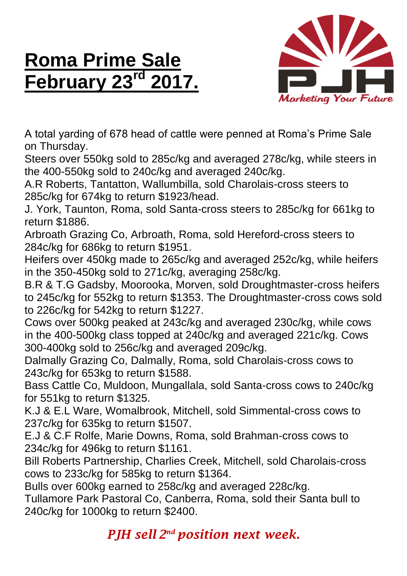## **Roma Prime Sale February 23rd**



A total yarding of 678 head of cattle were penned at Roma's Prime Sale on Thursday.

Steers over 550kg sold to 285c/kg and averaged 278c/kg, while steers in the 400-550kg sold to 240c/kg and averaged 240c/kg.

A.R Roberts, Tantatton, Wallumbilla, sold Charolais-cross steers to 285c/kg for 674kg to return \$1923/head.

J. York, Taunton, Roma, sold Santa-cross steers to 285c/kg for 661kg to return \$1886.

Arbroath Grazing Co, Arbroath, Roma, sold Hereford-cross steers to 284c/kg for 686kg to return \$1951.

Heifers over 450kg made to 265c/kg and averaged 252c/kg, while heifers in the 350-450kg sold to 271c/kg, averaging 258c/kg.

B.R & T.G Gadsby, Moorooka, Morven, sold Droughtmaster-cross heifers to 245c/kg for 552kg to return \$1353. The Droughtmaster-cross cows sold to 226c/kg for 542kg to return \$1227.

Cows over 500kg peaked at 243c/kg and averaged 230c/kg, while cows in the 400-500kg class topped at 240c/kg and averaged 221c/kg. Cows 300-400kg sold to 256c/kg and averaged 209c/kg.

Dalmally Grazing Co, Dalmally, Roma, sold Charolais-cross cows to 243c/kg for 653kg to return \$1588.

Bass Cattle Co, Muldoon, Mungallala, sold Santa-cross cows to 240c/kg for 551kg to return \$1325.

K.J & E.L Ware, Womalbrook, Mitchell, sold Simmental-cross cows to 237c/kg for 635kg to return \$1507.

E.J & C.F Rolfe, Marie Downs, Roma, sold Brahman-cross cows to 234c/kg for 496kg to return \$1161.

Bill Roberts Partnership, Charlies Creek, Mitchell, sold Charolais-cross cows to 233c/kg for 585kg to return \$1364.

Bulls over 600kg earned to 258c/kg and averaged 228c/kg.

Tullamore Park Pastoral Co, Canberra, Roma, sold their Santa bull to 240c/kg for 1000kg to return \$2400.

*PJH sell 2 nd position next week.*